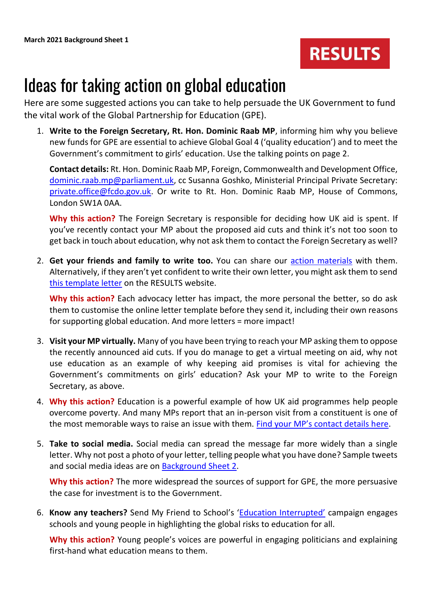

## Ideas for taking action on global education

Here are some suggested actions you can take to help persuade the UK Government to fund the vital work of the Global Partnership for Education (GPE).

1. **Write to the Foreign Secretary, Rt. Hon. Dominic Raab MP**, informing him why you believe new funds for GPE are essential to achieve Global Goal 4 ('quality education') and to meet the Government's commitment to girls' education. Use the talking points on page 2.

**Contact details:** Rt. Hon. Dominic Raab MP, Foreign, Commonwealth and Development Office, [dominic.raab.mp@parliament.uk,](mailto:dominic.raab.mp@parliament.uk) cc Susanna Goshko, Ministerial Principal Private Secretary: [private.office@fcdo.gov.uk.](mailto:private.office@fcdo.gov.uk) Or write to Rt. Hon. Dominic Raab MP, House of Commons, London SW1A 0AA.

**Why this action?** The Foreign Secretary is responsible for deciding how UK aid is spent. If you've recently contact your MP about the proposed aid cuts and think it's not too soon to get back in touch about education, why not ask them to contact the Foreign Secretary as well?

2. **Get your friends and family to write too.** You can share our [action materials](https://www.results.org.uk/news/fund-global-education) with them. Alternatively, if they aren't yet confident to write their own letter, you might ask them to send [this template letter](https://www.results.org.uk/cases/education-all) on the RESULTS website.

**Why this action?** Each advocacy letter has impact, the more personal the better, so do ask them to customise the online letter template before they send it, including their own reasons for supporting global education. And more letters = more impact!

- 3. **Visit your MP virtually.** Many of you have been trying to reach your MP asking them to oppose the recently announced aid cuts. If you do manage to get a virtual meeting on aid, why not use education as an example of why keeping aid promises is vital for achieving the Government's commitments on girls' education? Ask your MP to write to the Foreign Secretary, as above.
- 4. **Why this action?** Education is a powerful example of how UK aid programmes help people overcome poverty. And many MPs report that an in-person visit from a constituent is one of the most memorable ways to raise an issue with them. [Find your MP's contact details h](https://members.parliament.uk/members/Commons)ere.
- 5. **Take to social media.** Social media can spread the message far more widely than a single letter. Why not post a photo of your letter, telling people what you have done? Sample tweets and social media ideas are on [Background Sheet 2.](https://www.results.org.uk/sites/default/files/files/March%202021%20Background%20Sheet%202%20-%20Social%20media%20ideas%20and%20case%20study.pdf)

**Why this action?** The more widespread the sources of support for GPE, the more persuasive the case for investment is to the Government.

6. **Know any teachers?** Send My Friend to School's ['Education Interrupted'](https://act.sendmyfriend.org/campaignpack2021) campaign engages schools and young people in highlighting the global risks to education for all.

**Why this action?** Young people's voices are powerful in engaging politicians and explaining first-hand what education means to them.